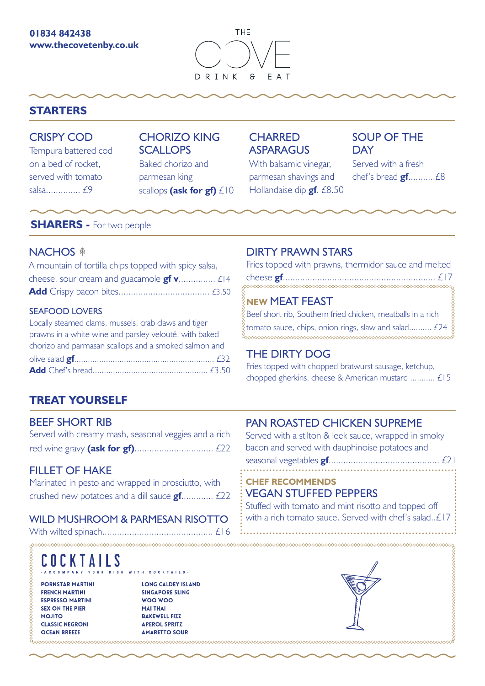#### **01834 842438 www.thecovetenby.co.uk**



## **STARTERS**

### CRISPY COD

Tempura battered cod on a bed of rocket, served with tomato salsa.............. £9

## CHORIZO KING **SCALLOPS**

Baked chorizo and parmesan king scallops **(ask for gf)** £10

## **CHARRED ASPARAGUS**

With balsamic vinegar, parmesan shavings and Hollandaise dip **gf**. £8.50

## SOUP OF THE **DAY**

Served with a fresh chef's bread **gf**...........£8

### **SHARERS -** For two people

### NACHOS<sup>®</sup>

| A mountain of tortilla chips topped with spicy salsa, |  |
|-------------------------------------------------------|--|
| cheese, sour cream and guacamole $gf v$ $E14$         |  |
|                                                       |  |

#### SEAFOOD LOVERS

| Locally steamed clams, mussels, crab claws and tiger   |
|--------------------------------------------------------|
| prawns in a white wine and parsley velouté, with baked |
| chorizo and parmasan scallops and a smoked salmon and  |
|                                                        |
|                                                        |

## **TREAT YOURSELF**

### BEEF SHORT RIB

| Served with creamy mash, seasonal veggies and a rich |  |  |  |
|------------------------------------------------------|--|--|--|
|                                                      |  |  |  |

## FILLET OF HAKE

| Marinated in pesto and wrapped in prosciutto, with |  |
|----------------------------------------------------|--|
| crushed new potatoes and a dill sauce $gf$ $f22$   |  |

### WILD MUSHROOM & PARMESAN RISOTTO

With wilted spinach............................................. £16 

#### E O EKTAILS

**PORNSTAR MARTINI FRENCH MARTINI ESPRESSO MARTINI SEX ON THE PIER MOJITO CLASSIC NEGRONI OCEAN BREEZE** 

<u>MMMMMMMM</u>

WWWWWWWWWWWWW

**LONG CALDEY ISLAND SINGAPORE SLING** WOO WOO **MAI THAI BAKEWELL FIZZ APEROL SPRITZ AMARETTO SOUR** 

TH COCKTAILS

## DIRTY PRAWN STARS

|  |  | Fries topped with prawns, thermidor sauce and melted |  |
|--|--|------------------------------------------------------|--|
|  |  |                                                      |  |
|  |  |                                                      |  |

### **NEW** MEAT FEAST

Beef short rib, Southern fried chicken, meatballs in a rich tomato sauce, chips, onion rings, slaw and salad.......... £24 

## THE DIRTY DOG

Fries topped with chopped bratwurst sausage, ketchup, chopped gherkins, cheese & American mustard ........... £15

## PAN ROASTED CHICKEN SUPREME

Served with a stilton & leek sauce, wrapped in smoky bacon and served with dauphinoise potatoes and seasonal vegetables **gf**.........................

#### **CHEF RECOMMENDS** VEGAN STUFFED PEPPERS

Stuffed with tomato and mint risotto and topped off with a rich tomato sauce. Served with chef's salad..£17